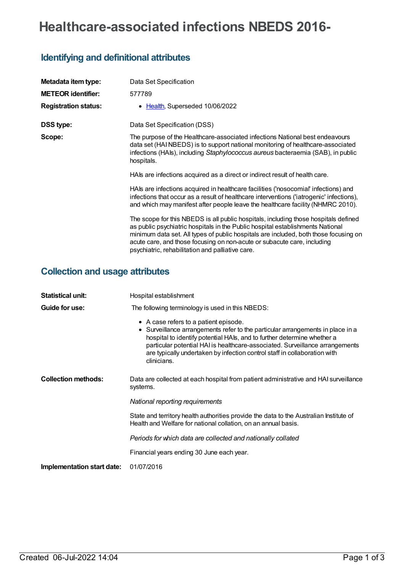# **Healthcare-associated infections NBEDS 2016-**

### **Identifying and definitional attributes**

| Metadata item type:         | Data Set Specification                                                                                                                                                                                                                                                                                                                                                                       |
|-----------------------------|----------------------------------------------------------------------------------------------------------------------------------------------------------------------------------------------------------------------------------------------------------------------------------------------------------------------------------------------------------------------------------------------|
| <b>METEOR identifier:</b>   | 577789                                                                                                                                                                                                                                                                                                                                                                                       |
| <b>Registration status:</b> | • Health, Superseded 10/06/2022                                                                                                                                                                                                                                                                                                                                                              |
| DSS type:                   | Data Set Specification (DSS)                                                                                                                                                                                                                                                                                                                                                                 |
| Scope:                      | The purpose of the Healthcare-associated infections National best endeavours<br>data set (HAI NBEDS) is to support national monitoring of healthcare-associated<br>infections (HAIs), including Staphylococcus aureus bacteraemia (SAB), in public<br>hospitals.                                                                                                                             |
|                             | HAIs are infections acquired as a direct or indirect result of health care.                                                                                                                                                                                                                                                                                                                  |
|                             | HAIs are infections acquired in healthcare facilities ('nosocomial' infections) and<br>infections that occur as a result of healthcare interventions ('iatrogenic' infections),<br>and which may manifest after people leave the healthcare facility (NHMRC 2010).                                                                                                                           |
|                             | The scope for this NBEDS is all public hospitals, including those hospitals defined<br>as public psychiatric hospitals in the Public hospital establishments National<br>minimum data set. All types of public hospitals are included, both those focusing on<br>acute care, and those focusing on non-acute or subacute care, including<br>psychiatric, rehabilitation and palliative care. |

## **Collection and usage attributes**

| <b>Statistical unit:</b>   | Hospital establishment                                                                                                                                                                                                                                                                                                                                                         |  |
|----------------------------|--------------------------------------------------------------------------------------------------------------------------------------------------------------------------------------------------------------------------------------------------------------------------------------------------------------------------------------------------------------------------------|--|
| Guide for use:             | The following terminology is used in this NBEDS:                                                                                                                                                                                                                                                                                                                               |  |
|                            | • A case refers to a patient episode.<br>• Surveillance arrangements refer to the particular arrangements in place in a<br>hospital to identify potential HAIs, and to further determine whether a<br>particular potential HAI is healthcare-associated. Surveillance arrangements<br>are typically undertaken by infection control staff in collaboration with<br>clinicians. |  |
| <b>Collection methods:</b> | Data are collected at each hospital from patient administrative and HAI surveillance<br>systems.                                                                                                                                                                                                                                                                               |  |
|                            | National reporting requirements                                                                                                                                                                                                                                                                                                                                                |  |
|                            | State and territory health authorities provide the data to the Australian Institute of<br>Health and Welfare for national collation, on an annual basis.                                                                                                                                                                                                                       |  |
|                            | Periods for which data are collected and nationally collated                                                                                                                                                                                                                                                                                                                   |  |
|                            | Financial years ending 30 June each year.                                                                                                                                                                                                                                                                                                                                      |  |
| Implementation start date: | 01/07/2016                                                                                                                                                                                                                                                                                                                                                                     |  |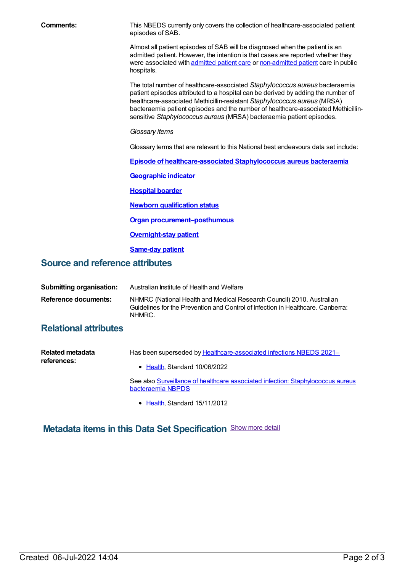| <b>Comments:</b>                       | This NBEDS currently only covers the collection of healthcare-associated patient<br>episodes of SAB.                                                                                                                                                                                                                                                                                                     |  |  |
|----------------------------------------|----------------------------------------------------------------------------------------------------------------------------------------------------------------------------------------------------------------------------------------------------------------------------------------------------------------------------------------------------------------------------------------------------------|--|--|
|                                        | Almost all patient episodes of SAB will be diagnosed when the patient is an<br>admitted patient. However, the intention is that cases are reported whether they<br>were associated with admitted patient care or non-admitted patient care in public<br>hospitals.                                                                                                                                       |  |  |
|                                        | The total number of healthcare-associated Staphylococcus aureus bacteraemia<br>patient episodes attributed to a hospital can be derived by adding the number of<br>healthcare-associated Methicillin-resistant Staphylococcus aureus (MRSA)<br>bacteraemia patient episodes and the number of healthcare-associated Methicillin-<br>sensitive Staphylococcus aureus (MRSA) bacteraemia patient episodes. |  |  |
|                                        | Glossary items                                                                                                                                                                                                                                                                                                                                                                                           |  |  |
|                                        | Glossary terms that are relevant to this National best endeavours data set include:                                                                                                                                                                                                                                                                                                                      |  |  |
|                                        | Episode of healthcare-associated Staphylococcus aureus bacteraemia                                                                                                                                                                                                                                                                                                                                       |  |  |
|                                        | <b>Geographic indicator</b>                                                                                                                                                                                                                                                                                                                                                                              |  |  |
|                                        | <b>Hospital boarder</b>                                                                                                                                                                                                                                                                                                                                                                                  |  |  |
|                                        | <b>Newborn qualification status</b>                                                                                                                                                                                                                                                                                                                                                                      |  |  |
|                                        | <b>Organ procurement-posthumous</b>                                                                                                                                                                                                                                                                                                                                                                      |  |  |
|                                        | <b>Overnight-stay patient</b>                                                                                                                                                                                                                                                                                                                                                                            |  |  |
|                                        | <b>Same-day patient</b>                                                                                                                                                                                                                                                                                                                                                                                  |  |  |
| <b>Source and reference attributes</b> |                                                                                                                                                                                                                                                                                                                                                                                                          |  |  |
| <b>Submitting organisation:</b>        | Australian Institute of Health and Welfare                                                                                                                                                                                                                                                                                                                                                               |  |  |

| Reference documents: | NHMRC (National Health and Medical Research Council) 2010. Australian           |  |  |
|----------------------|---------------------------------------------------------------------------------|--|--|
|                      | Guidelines for the Prevention and Control of Infection in Healthcare. Canberra: |  |  |
|                      | NHMRC.                                                                          |  |  |

#### **Relational attributes**

| Related metadata<br>references: | Has been superseded by Healthcare-associated infections NBEDS 2021-                                  |
|---------------------------------|------------------------------------------------------------------------------------------------------|
|                                 | • Health Standard 10/06/2022                                                                         |
|                                 | See also Surveillance of healthcare associated infection: Staphylococcus aureus<br>bacteraemia NBPDS |

• [Health](https://meteor.aihw.gov.au/RegistrationAuthority/12), Standard 15/11/2012

**Metadata items in this Data Set Specification** Show more detail